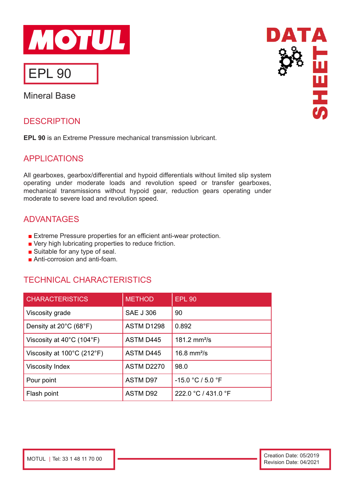

# EPL 90

Mineral Base

## **DESCRIPTION**

**EPL 90** is an Extreme Pressure mechanical transmission lubricant.

## APPLICATIONS

All gearboxes, gearbox/differential and hypoid differentials without limited slip system operating under moderate loads and revolution speed or transfer gearboxes, mechanical transmissions without hypoid gear, reduction gears operating under moderate to severe load and revolution speed.

### ADVANTAGES

- Extreme Pressure properties for an efficient anti-wear protection.
- Very high lubricating properties to reduce friction.
- Suitable for any type of seal.
- Anti-corrosion and anti-foam.

## TECHNICAL CHARACTERISTICS

| <b>CHARACTERISTICS</b>                          | <b>METHOD</b>     | <b>EPL 90</b>            |
|-------------------------------------------------|-------------------|--------------------------|
| Viscosity grade                                 | <b>SAE J 306</b>  | 90                       |
| Density at $20^{\circ}$ C (68 $^{\circ}$ F)     | ASTM D1298        | 0.892                    |
| Viscosity at $40^{\circ}$ C (104 $^{\circ}$ F)  | <b>ASTM D445</b>  | 181.2 mm <sup>2</sup> /s |
| Viscosity at $100^{\circ}$ C (212 $^{\circ}$ F) | <b>ASTM D445</b>  | 16.8 $mm2/s$             |
| <b>Viscosity Index</b>                          | <b>ASTM D2270</b> | 98.0                     |
| Pour point                                      | <b>ASTM D97</b>   | $-15.0 °C / 5.0 °F$      |
| Flash point                                     | <b>ASTM D92</b>   | 222.0 °C / 431.0 °F      |